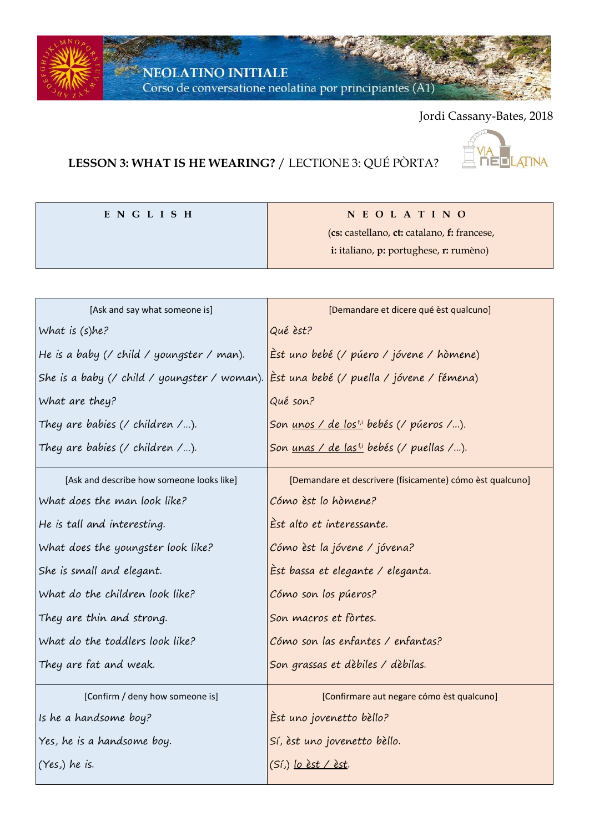$\sim$  NEOLATINO INITIALE

Corso de conversatione neolatina por principiantes (A1)

## Jordi Cassany-Bates, 2018

## **LESSON 3: WHAT IS HE WEARING?** / LECTIONE 3: QUÉ PÒRTA?



| ENGLISH | NEOLATINO                                   |  |
|---------|---------------------------------------------|--|
|         | (cs: castellano, ct: catalano, f: francese, |  |
|         | i: italiano, p: portughese, r: rumèno)      |  |
|         |                                             |  |

| [Ask and say what someone is]                                                                        | [Demandare et dicere qué èst qualcuno]                     |  |  |
|------------------------------------------------------------------------------------------------------|------------------------------------------------------------|--|--|
| What is (s)he?                                                                                       | Qué èst?                                                   |  |  |
| He is a baby (/ child / youngster / man).                                                            | Èst uno bebé (/ púero / jóvene / hòmene)                   |  |  |
| She is a baby (/ child / youngster / woman). <mark> Èst una bebé (/ puella / jóvene / fémena)</mark> |                                                            |  |  |
| What are they?                                                                                       | Qué son?                                                   |  |  |
| They are babies (/ children /).                                                                      | Son <u>unos / de lostil</u> bebés (/ púeros /).            |  |  |
| They are babies (/ children /).                                                                      | Son <u>unas / de las<sup>ti</sup></u> bebés (/ puellas /). |  |  |
| [Ask and describe how someone looks like]                                                            | [Demandare et descrivere (físicamente) cómo èst qualcuno]  |  |  |
| What does the man look like?                                                                         | Cómo èst lo hòmene?                                        |  |  |
| He is tall and interesting.                                                                          | Èst alto et interessante.                                  |  |  |
| What does the youngster look like?                                                                   | Cómo èst la jóvene / jóvena?                               |  |  |
| She is small and elegant.                                                                            | Èst bassa et elegante / eleganta.                          |  |  |
| What do the children look like?                                                                      | Cómo son los púeros?                                       |  |  |
| They are thin and strong.                                                                            | Son macros et fòrtes.                                      |  |  |
| What do the toddlers look like?                                                                      | Cómo son las enfantes / enfantas?                          |  |  |
| They are fat and weak.                                                                               | Son grassas et dèbiles / dèbilas.                          |  |  |
| [Confirm / deny how someone is]                                                                      | [Confirmare aut negare cómo èst qualcuno]                  |  |  |
| Is he a handsome boy?                                                                                | Est uno jovenetto bèllo?                                   |  |  |
| Yes, he is a handsome boy.                                                                           | Sí, èst uno jovenetto bèllo.                               |  |  |
| (Yes.) he is.                                                                                        | (Sí,) <u>lo  èst / èst</u> .                               |  |  |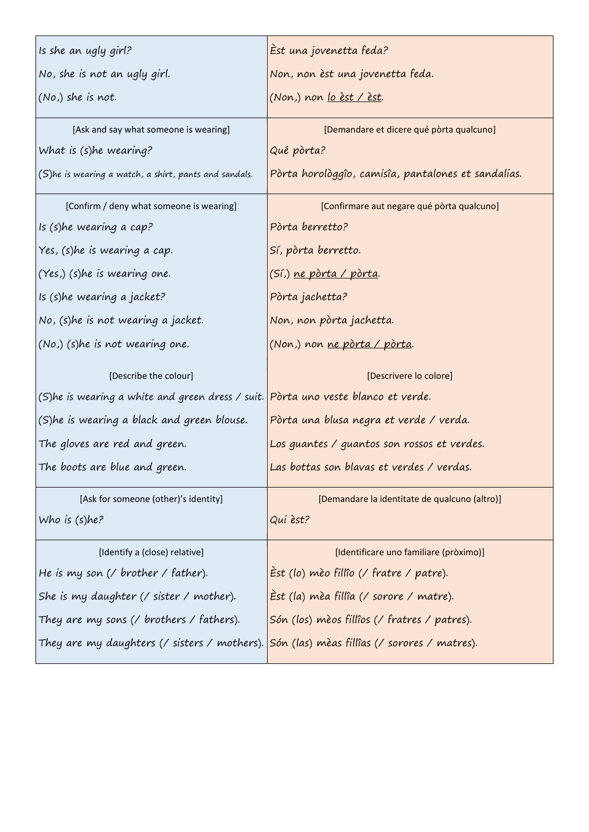| Is she an ugly girl?                                                              | Èst una jovenetta feda?                             |  |  |
|-----------------------------------------------------------------------------------|-----------------------------------------------------|--|--|
| No, she is not an ugly girl.                                                      | Non, non èst una jovenetta feda.                    |  |  |
| (No,) she is not.                                                                 | (Non.) non <u>lo èst / èst</u> .                    |  |  |
| [Ask and say what someone is wearing]                                             | [Demandare et dicere qué pòrta qualcuno]            |  |  |
| What is (s)he wearing?                                                            | Qué pòrta?                                          |  |  |
| (S)he is wearing a watch, a shirt, pants and sandals.                             | Pòrta horològgîo, camisîa, pantalones et sandalias. |  |  |
| [Confirm / deny what someone is wearing]                                          | [Confirmare aut negare qué pòrta qualcuno]          |  |  |
| Is (s)he wearing a cap?                                                           | Pòrta berretto?                                     |  |  |
| Yes, (s)he is wearing a cap.                                                      | Sí, pòrta berretto.                                 |  |  |
| (Yes.) (s)he is wearing one.                                                      | (Sí,) ne pòrta / pòrta.                             |  |  |
| Is (s)he wearing a jacket?                                                        | Pòrta jachetta?                                     |  |  |
| No, (s)he is not wearing a jacket.                                                | Non, non pòrta jachetta.                            |  |  |
| (No.) (s)he is not wearing one.                                                   | (Non,) non ne pòrta / pòrta.                        |  |  |
|                                                                                   |                                                     |  |  |
| [Describe the colour]                                                             | [Descrivere lo colore]                              |  |  |
| (S)he is wearing a white and green dress / suit. Pòrta uno veste blanco et verde. |                                                     |  |  |
| (S)he is wearing a black and green blouse.                                        | Pòrta una blusa negra et verde / verda.             |  |  |
| The gloves are red and green.                                                     | Los guantes / guantos son rossos et verdes.         |  |  |
| The boots are blue and green.                                                     | Las bottas son blavas et verdes / verdas.           |  |  |
| [Ask for someone (other)'s identity]                                              | [Demandare la identitate de qualcuno (altro)]       |  |  |
| Who is $(s)$ he?                                                                  | Qui èst?                                            |  |  |
| [Identify a (close) relative]                                                     | [Identificare uno familiare (pròximo)]              |  |  |
| He is my son (/ brother / father).                                                | $\dot{E}$ st (lo) mèo fillîo (/ fratre / patre).    |  |  |
| She is my daughter $\ell$ sister $\ell$ mother).                                  | Èst (la) mèa fillîa (/ sorore / matre).             |  |  |
| They are my sons (/ brothers / fathers).                                          | Són (los) mèos fillîos (/ fratres / patres).        |  |  |